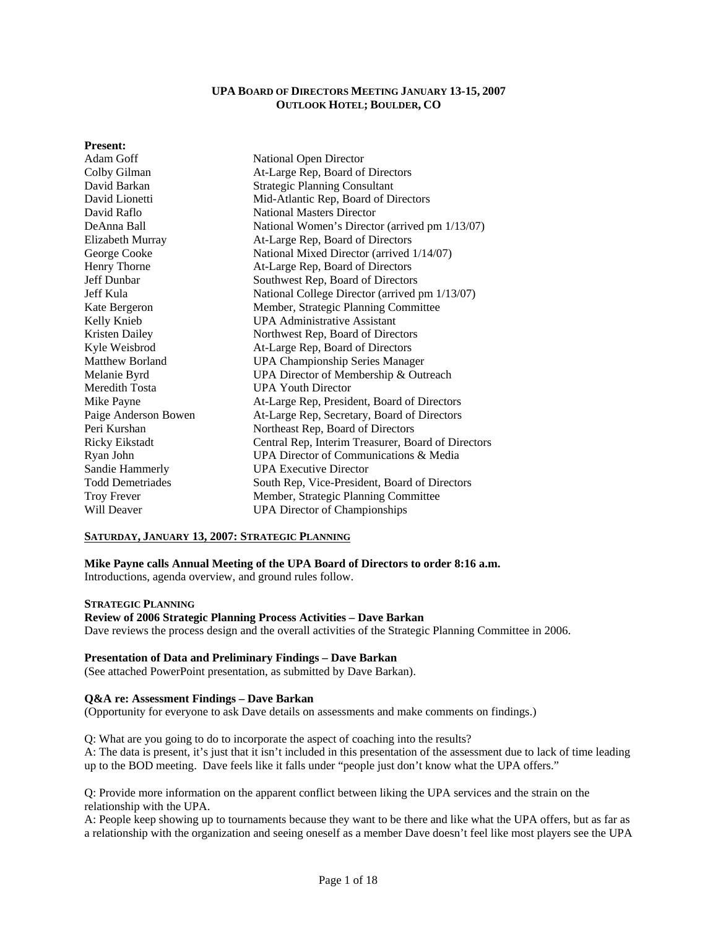### **UPA BOARD OF DIRECTORS MEETING JANUARY 13-15, 2007 OUTLOOK HOTEL; BOULDER, CO**

#### **Present:**

| Adam Goff               | <b>National Open Director</b>                      |  |  |
|-------------------------|----------------------------------------------------|--|--|
| Colby Gilman            | At-Large Rep, Board of Directors                   |  |  |
| David Barkan            | <b>Strategic Planning Consultant</b>               |  |  |
| David Lionetti          | Mid-Atlantic Rep, Board of Directors               |  |  |
| David Raflo             | <b>National Masters Director</b>                   |  |  |
| DeAnna Ball             | National Women's Director (arrived pm 1/13/07)     |  |  |
| Elizabeth Murray        | At-Large Rep, Board of Directors                   |  |  |
| George Cooke            | National Mixed Director (arrived 1/14/07)          |  |  |
| Henry Thorne            | At-Large Rep, Board of Directors                   |  |  |
| Jeff Dunbar             | Southwest Rep, Board of Directors                  |  |  |
| Jeff Kula               | National College Director (arrived pm 1/13/07)     |  |  |
| Kate Bergeron           | Member, Strategic Planning Committee               |  |  |
| Kelly Knieb             | <b>UPA Administrative Assistant</b>                |  |  |
| Kristen Dailey          | Northwest Rep, Board of Directors                  |  |  |
| Kyle Weisbrod           | At-Large Rep, Board of Directors                   |  |  |
| <b>Matthew Borland</b>  | <b>UPA Championship Series Manager</b>             |  |  |
| Melanie Byrd            | UPA Director of Membership & Outreach              |  |  |
| Meredith Tosta          | <b>UPA Youth Director</b>                          |  |  |
| Mike Payne              | At-Large Rep, President, Board of Directors        |  |  |
| Paige Anderson Bowen    | At-Large Rep, Secretary, Board of Directors        |  |  |
| Peri Kurshan            | Northeast Rep, Board of Directors                  |  |  |
| <b>Ricky Eikstadt</b>   | Central Rep, Interim Treasurer, Board of Directors |  |  |
| Ryan John               | UPA Director of Communications & Media             |  |  |
| Sandie Hammerly         | <b>UPA Executive Director</b>                      |  |  |
| <b>Todd Demetriades</b> | South Rep, Vice-President, Board of Directors      |  |  |
| <b>Troy Frever</b>      | Member, Strategic Planning Committee               |  |  |
| Will Deaver             | <b>UPA Director of Championships</b>               |  |  |

#### **SATURDAY, JANUARY 13, 2007: STRATEGIC PLANNING**

**Mike Payne calls Annual Meeting of the UPA Board of Directors to order 8:16 a.m.**  Introductions, agenda overview, and ground rules follow.

**STRATEGIC PLANNING**

#### **Review of 2006 Strategic Planning Process Activities – Dave Barkan**

Dave reviews the process design and the overall activities of the Strategic Planning Committee in 2006.

### **Presentation of Data and Preliminary Findings – Dave Barkan**

(See attached PowerPoint presentation, as submitted by Dave Barkan).

## **Q&A re: Assessment Findings – Dave Barkan**

(Opportunity for everyone to ask Dave details on assessments and make comments on findings.)

Q: What are you going to do to incorporate the aspect of coaching into the results?

A: The data is present, it's just that it isn't included in this presentation of the assessment due to lack of time leading up to the BOD meeting. Dave feels like it falls under "people just don't know what the UPA offers."

Q: Provide more information on the apparent conflict between liking the UPA services and the strain on the relationship with the UPA.

A: People keep showing up to tournaments because they want to be there and like what the UPA offers, but as far as a relationship with the organization and seeing oneself as a member Dave doesn't feel like most players see the UPA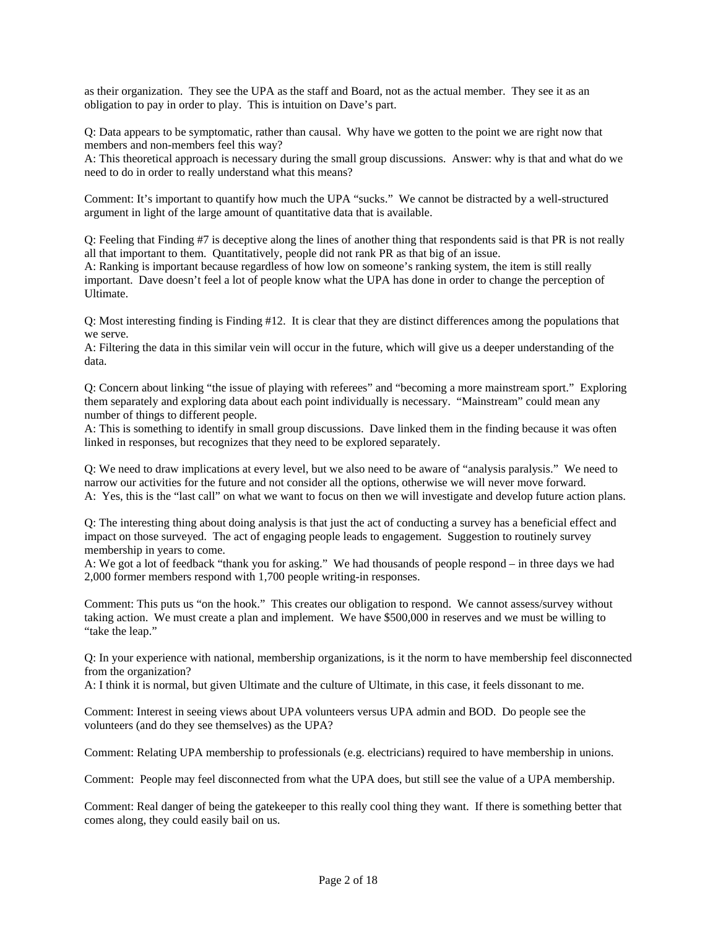as their organization. They see the UPA as the staff and Board, not as the actual member. They see it as an obligation to pay in order to play. This is intuition on Dave's part.

Q: Data appears to be symptomatic, rather than causal. Why have we gotten to the point we are right now that members and non-members feel this way?

A: This theoretical approach is necessary during the small group discussions. Answer: why is that and what do we need to do in order to really understand what this means?

Comment: It's important to quantify how much the UPA "sucks." We cannot be distracted by a well-structured argument in light of the large amount of quantitative data that is available.

Q: Feeling that Finding #7 is deceptive along the lines of another thing that respondents said is that PR is not really all that important to them. Quantitatively, people did not rank PR as that big of an issue.

A: Ranking is important because regardless of how low on someone's ranking system, the item is still really important. Dave doesn't feel a lot of people know what the UPA has done in order to change the perception of Ultimate.

Q: Most interesting finding is Finding #12. It is clear that they are distinct differences among the populations that we serve.

A: Filtering the data in this similar vein will occur in the future, which will give us a deeper understanding of the data.

Q: Concern about linking "the issue of playing with referees" and "becoming a more mainstream sport." Exploring them separately and exploring data about each point individually is necessary. "Mainstream" could mean any number of things to different people.

A: This is something to identify in small group discussions. Dave linked them in the finding because it was often linked in responses, but recognizes that they need to be explored separately.

Q: We need to draw implications at every level, but we also need to be aware of "analysis paralysis." We need to narrow our activities for the future and not consider all the options, otherwise we will never move forward. A: Yes, this is the "last call" on what we want to focus on then we will investigate and develop future action plans.

Q: The interesting thing about doing analysis is that just the act of conducting a survey has a beneficial effect and impact on those surveyed. The act of engaging people leads to engagement. Suggestion to routinely survey membership in years to come.

A: We got a lot of feedback "thank you for asking." We had thousands of people respond – in three days we had 2,000 former members respond with 1,700 people writing-in responses.

Comment: This puts us "on the hook." This creates our obligation to respond. We cannot assess/survey without taking action. We must create a plan and implement. We have \$500,000 in reserves and we must be willing to "take the leap."

Q: In your experience with national, membership organizations, is it the norm to have membership feel disconnected from the organization?

A: I think it is normal, but given Ultimate and the culture of Ultimate, in this case, it feels dissonant to me.

Comment: Interest in seeing views about UPA volunteers versus UPA admin and BOD. Do people see the volunteers (and do they see themselves) as the UPA?

Comment: Relating UPA membership to professionals (e.g. electricians) required to have membership in unions.

Comment: People may feel disconnected from what the UPA does, but still see the value of a UPA membership.

Comment: Real danger of being the gatekeeper to this really cool thing they want. If there is something better that comes along, they could easily bail on us.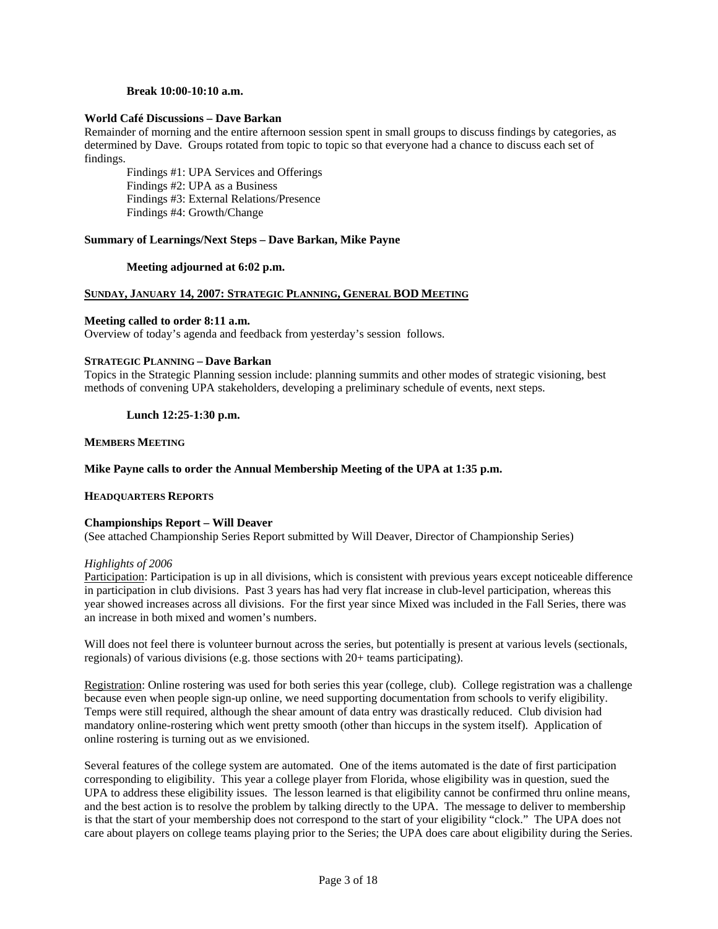#### **Break 10:00-10:10 a.m.**

#### **World Café Discussions – Dave Barkan**

Remainder of morning and the entire afternoon session spent in small groups to discuss findings by categories, as determined by Dave. Groups rotated from topic to topic so that everyone had a chance to discuss each set of findings.

Findings #1: UPA Services and Offerings Findings #2: UPA as a Business Findings #3: External Relations/Presence Findings #4: Growth/Change

#### **Summary of Learnings/Next Steps – Dave Barkan, Mike Payne**

### **Meeting adjourned at 6:02 p.m.**

### **SUNDAY, JANUARY 14, 2007: STRATEGIC PLANNING, GENERAL BOD MEETING**

#### **Meeting called to order 8:11 a.m.**

Overview of today's agenda and feedback from yesterday's session follows.

### **STRATEGIC PLANNING – Dave Barkan**

Topics in the Strategic Planning session include: planning summits and other modes of strategic visioning, best methods of convening UPA stakeholders, developing a preliminary schedule of events, next steps.

 **Lunch 12:25-1:30 p.m.** 

### **MEMBERS MEETING**

### **Mike Payne calls to order the Annual Membership Meeting of the UPA at 1:35 p.m.**

#### **HEADQUARTERS REPORTS**

#### **Championships Report – Will Deaver**

(See attached Championship Series Report submitted by Will Deaver, Director of Championship Series)

#### *Highlights of 2006*

Participation: Participation is up in all divisions, which is consistent with previous years except noticeable difference in participation in club divisions. Past 3 years has had very flat increase in club-level participation, whereas this year showed increases across all divisions.For the first year since Mixed was included in the Fall Series, there was an increase in both mixed and women's numbers.

Will does not feel there is volunteer burnout across the series, but potentially is present at various levels (sectionals, regionals) of various divisions (e.g. those sections with 20+ teams participating).

Registration: Online rostering was used for both series this year (college, club). College registration was a challenge because even when people sign-up online, we need supporting documentation from schools to verify eligibility. Temps were still required, although the shear amount of data entry was drastically reduced. Club division had mandatory online-rostering which went pretty smooth (other than hiccups in the system itself). Application of online rostering is turning out as we envisioned.

Several features of the college system are automated. One of the items automated is the date of first participation corresponding to eligibility. This year a college player from Florida, whose eligibility was in question, sued the UPA to address these eligibility issues. The lesson learned is that eligibility cannot be confirmed thru online means, and the best action is to resolve the problem by talking directly to the UPA. The message to deliver to membership is that the start of your membership does not correspond to the start of your eligibility "clock." The UPA does not care about players on college teams playing prior to the Series; the UPA does care about eligibility during the Series.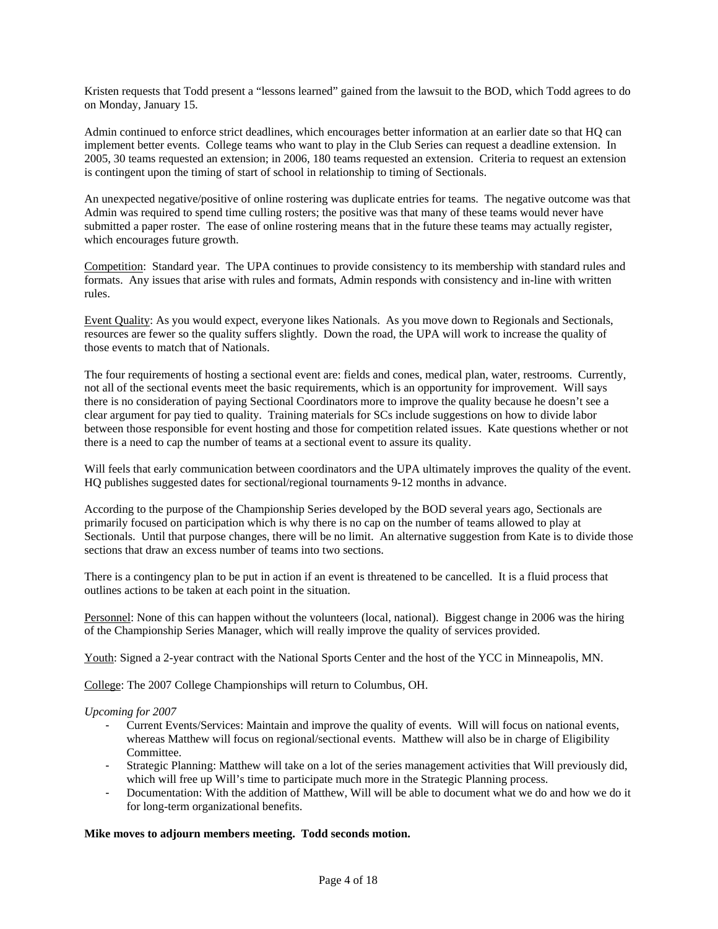Kristen requests that Todd present a "lessons learned" gained from the lawsuit to the BOD, which Todd agrees to do on Monday, January 15.

Admin continued to enforce strict deadlines, which encourages better information at an earlier date so that HQ can implement better events. College teams who want to play in the Club Series can request a deadline extension. In 2005, 30 teams requested an extension; in 2006, 180 teams requested an extension. Criteria to request an extension is contingent upon the timing of start of school in relationship to timing of Sectionals.

An unexpected negative/positive of online rostering was duplicate entries for teams. The negative outcome was that Admin was required to spend time culling rosters; the positive was that many of these teams would never have submitted a paper roster. The ease of online rostering means that in the future these teams may actually register, which encourages future growth.

Competition: Standard year. The UPA continues to provide consistency to its membership with standard rules and formats. Any issues that arise with rules and formats, Admin responds with consistency and in-line with written rules.

Event Quality: As you would expect, everyone likes Nationals. As you move down to Regionals and Sectionals, resources are fewer so the quality suffers slightly. Down the road, the UPA will work to increase the quality of those events to match that of Nationals.

The four requirements of hosting a sectional event are: fields and cones, medical plan, water, restrooms. Currently, not all of the sectional events meet the basic requirements, which is an opportunity for improvement. Will says there is no consideration of paying Sectional Coordinators more to improve the quality because he doesn't see a clear argument for pay tied to quality. Training materials for SCs include suggestions on how to divide labor between those responsible for event hosting and those for competition related issues. Kate questions whether or not there is a need to cap the number of teams at a sectional event to assure its quality.

Will feels that early communication between coordinators and the UPA ultimately improves the quality of the event. HQ publishes suggested dates for sectional/regional tournaments 9-12 months in advance.

According to the purpose of the Championship Series developed by the BOD several years ago, Sectionals are primarily focused on participation which is why there is no cap on the number of teams allowed to play at Sectionals. Until that purpose changes, there will be no limit. An alternative suggestion from Kate is to divide those sections that draw an excess number of teams into two sections.

There is a contingency plan to be put in action if an event is threatened to be cancelled. It is a fluid process that outlines actions to be taken at each point in the situation.

Personnel: None of this can happen without the volunteers (local, national). Biggest change in 2006 was the hiring of the Championship Series Manager, which will really improve the quality of services provided.

Youth: Signed a 2-year contract with the National Sports Center and the host of the YCC in Minneapolis, MN.

College: The 2007 College Championships will return to Columbus, OH.

#### *Upcoming for 2007*

- Current Events/Services: Maintain and improve the quality of events. Will will focus on national events, whereas Matthew will focus on regional/sectional events. Matthew will also be in charge of Eligibility Committee.
- Strategic Planning: Matthew will take on a lot of the series management activities that Will previously did, which will free up Will's time to participate much more in the Strategic Planning process.
- Documentation: With the addition of Matthew, Will will be able to document what we do and how we do it for long-term organizational benefits.

### **Mike moves to adjourn members meeting. Todd seconds motion.**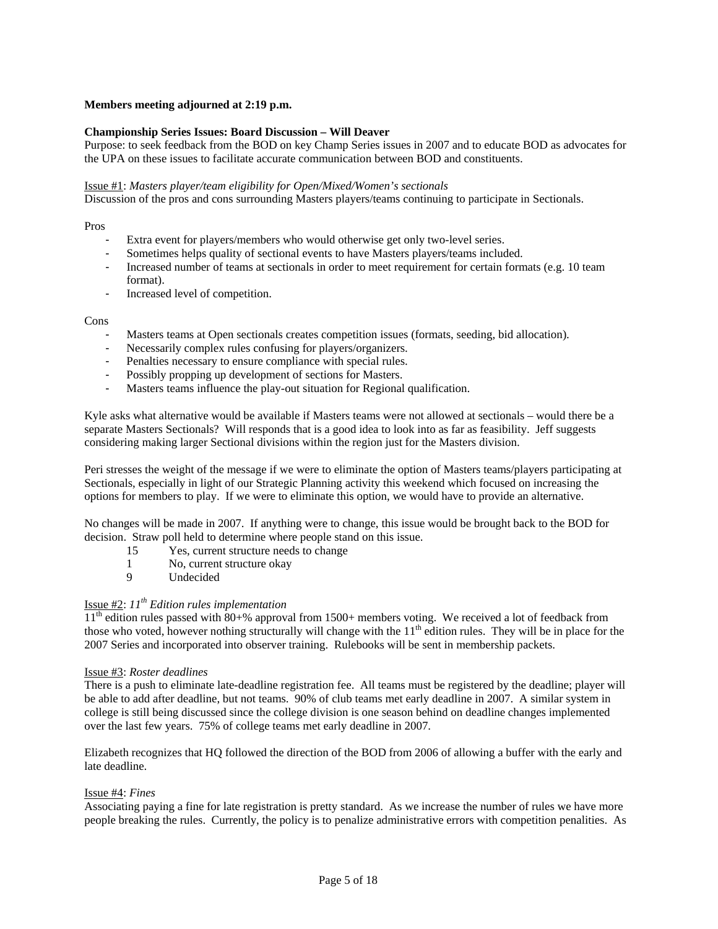## **Members meeting adjourned at 2:19 p.m.**

### **Championship Series Issues: Board Discussion – Will Deaver**

Purpose: to seek feedback from the BOD on key Champ Series issues in 2007 and to educate BOD as advocates for the UPA on these issues to facilitate accurate communication between BOD and constituents.

#### Issue #1: *Masters player/team eligibility for Open/Mixed/Women's sectionals*

Discussion of the pros and cons surrounding Masters players/teams continuing to participate in Sectionals.

Pros

- Extra event for players/members who would otherwise get only two-level series.
- Sometimes helps quality of sectional events to have Masters players/teams included.
- Increased number of teams at sectionals in order to meet requirement for certain formats (e.g. 10 team format).
- Increased level of competition.

#### Cons

- Masters teams at Open sectionals creates competition issues (formats, seeding, bid allocation).
- Necessarily complex rules confusing for players/organizers.
- Penalties necessary to ensure compliance with special rules.
- Possibly propping up development of sections for Masters.
- Masters teams influence the play-out situation for Regional qualification.

Kyle asks what alternative would be available if Masters teams were not allowed at sectionals – would there be a separate Masters Sectionals? Will responds that is a good idea to look into as far as feasibility. Jeff suggests considering making larger Sectional divisions within the region just for the Masters division.

Peri stresses the weight of the message if we were to eliminate the option of Masters teams/players participating at Sectionals, especially in light of our Strategic Planning activity this weekend which focused on increasing the options for members to play. If we were to eliminate this option, we would have to provide an alternative.

No changes will be made in 2007. If anything were to change, this issue would be brought back to the BOD for decision. Straw poll held to determine where people stand on this issue.

- 15 Yes, current structure needs to change
- 1 No, current structure okay
- 9 Undecided

# Issue #2: *11th Edition rules implementation*

 $11<sup>th</sup>$  edition rules passed with  $80+$ % approval from 1500+ members voting. We received a lot of feedback from those who voted, however nothing structurally will change with the 11<sup>th</sup> edition rules. They will be in place for the 2007 Series and incorporated into observer training. Rulebooks will be sent in membership packets.

#### Issue #3: *Roster deadlines*

There is a push to eliminate late-deadline registration fee. All teams must be registered by the deadline; player will be able to add after deadline, but not teams. 90% of club teams met early deadline in 2007. A similar system in college is still being discussed since the college division is one season behind on deadline changes implemented over the last few years. 75% of college teams met early deadline in 2007.

Elizabeth recognizes that HQ followed the direction of the BOD from 2006 of allowing a buffer with the early and late deadline.

#### Issue #4: *Fines*

Associating paying a fine for late registration is pretty standard. As we increase the number of rules we have more people breaking the rules. Currently, the policy is to penalize administrative errors with competition penalities. As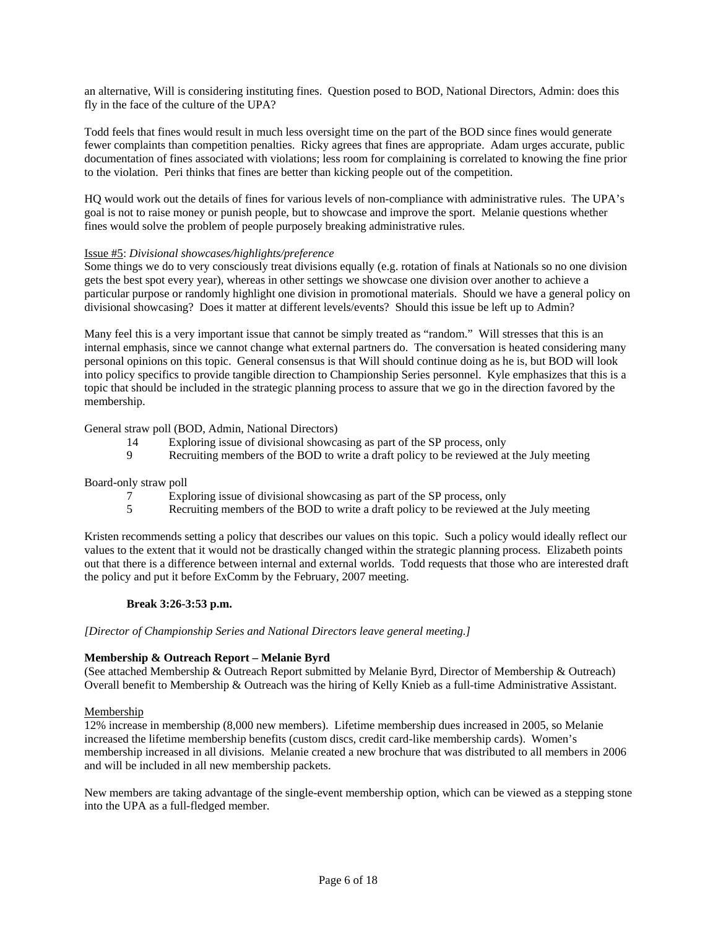an alternative, Will is considering instituting fines. Question posed to BOD, National Directors, Admin: does this fly in the face of the culture of the UPA?

Todd feels that fines would result in much less oversight time on the part of the BOD since fines would generate fewer complaints than competition penalties. Ricky agrees that fines are appropriate. Adam urges accurate, public documentation of fines associated with violations; less room for complaining is correlated to knowing the fine prior to the violation. Peri thinks that fines are better than kicking people out of the competition.

HQ would work out the details of fines for various levels of non-compliance with administrative rules. The UPA's goal is not to raise money or punish people, but to showcase and improve the sport. Melanie questions whether fines would solve the problem of people purposely breaking administrative rules.

## Issue #5: *Divisional showcases/highlights/preference*

Some things we do to very consciously treat divisions equally (e.g. rotation of finals at Nationals so no one division gets the best spot every year), whereas in other settings we showcase one division over another to achieve a particular purpose or randomly highlight one division in promotional materials. Should we have a general policy on divisional showcasing? Does it matter at different levels/events? Should this issue be left up to Admin?

Many feel this is a very important issue that cannot be simply treated as "random." Will stresses that this is an internal emphasis, since we cannot change what external partners do. The conversation is heated considering many personal opinions on this topic. General consensus is that Will should continue doing as he is, but BOD will look into policy specifics to provide tangible direction to Championship Series personnel. Kyle emphasizes that this is a topic that should be included in the strategic planning process to assure that we go in the direction favored by the membership.

#### General straw poll (BOD, Admin, National Directors)

- 14 Exploring issue of divisional showcasing as part of the SP process, only
- 9 Recruiting members of the BOD to write a draft policy to be reviewed at the July meeting

#### Board-only straw poll

- 7 Exploring issue of divisional showcasing as part of the SP process, only
- 5 Recruiting members of the BOD to write a draft policy to be reviewed at the July meeting

Kristen recommends setting a policy that describes our values on this topic. Such a policy would ideally reflect our values to the extent that it would not be drastically changed within the strategic planning process. Elizabeth points out that there is a difference between internal and external worlds. Todd requests that those who are interested draft the policy and put it before ExComm by the February, 2007 meeting.

#### **Break 3:26-3:53 p.m.**

#### *[Director of Championship Series and National Directors leave general meeting.]*

#### **Membership & Outreach Report – Melanie Byrd**

(See attached Membership & Outreach Report submitted by Melanie Byrd, Director of Membership & Outreach) Overall benefit to Membership & Outreach was the hiring of Kelly Knieb as a full-time Administrative Assistant.

#### Membership

12% increase in membership (8,000 new members). Lifetime membership dues increased in 2005, so Melanie increased the lifetime membership benefits (custom discs, credit card-like membership cards). Women's membership increased in all divisions. Melanie created a new brochure that was distributed to all members in 2006 and will be included in all new membership packets.

New members are taking advantage of the single-event membership option, which can be viewed as a stepping stone into the UPA as a full-fledged member.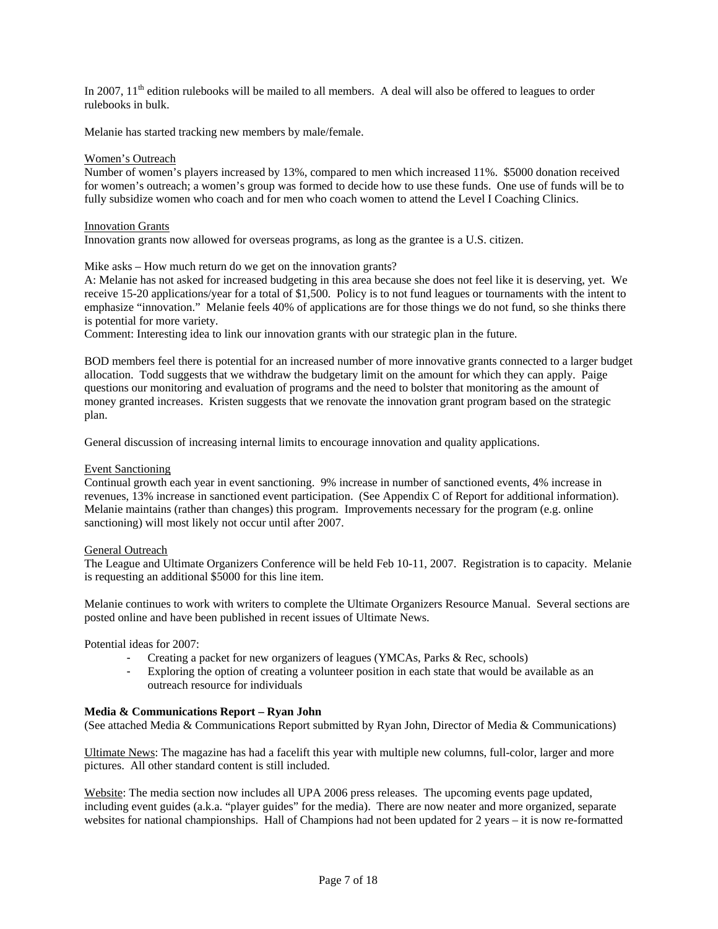In 2007,  $11<sup>th</sup>$  edition rulebooks will be mailed to all members. A deal will also be offered to leagues to order rulebooks in bulk.

Melanie has started tracking new members by male/female.

#### Women's Outreach

Number of women's players increased by 13%, compared to men which increased 11%. \$5000 donation received for women's outreach; a women's group was formed to decide how to use these funds. One use of funds will be to fully subsidize women who coach and for men who coach women to attend the Level I Coaching Clinics.

#### Innovation Grants

Innovation grants now allowed for overseas programs, as long as the grantee is a U.S. citizen.

Mike asks – How much return do we get on the innovation grants?

A: Melanie has not asked for increased budgeting in this area because she does not feel like it is deserving, yet. We receive 15-20 applications/year for a total of \$1,500. Policy is to not fund leagues or tournaments with the intent to emphasize "innovation." Melanie feels 40% of applications are for those things we do not fund, so she thinks there is potential for more variety.

Comment: Interesting idea to link our innovation grants with our strategic plan in the future.

BOD members feel there is potential for an increased number of more innovative grants connected to a larger budget allocation. Todd suggests that we withdraw the budgetary limit on the amount for which they can apply. Paige questions our monitoring and evaluation of programs and the need to bolster that monitoring as the amount of money granted increases. Kristen suggests that we renovate the innovation grant program based on the strategic plan.

General discussion of increasing internal limits to encourage innovation and quality applications.

#### Event Sanctioning

Continual growth each year in event sanctioning. 9% increase in number of sanctioned events, 4% increase in revenues, 13% increase in sanctioned event participation. (See Appendix C of Report for additional information). Melanie maintains (rather than changes) this program. Improvements necessary for the program (e.g. online sanctioning) will most likely not occur until after 2007.

#### General Outreach

The League and Ultimate Organizers Conference will be held Feb 10-11, 2007. Registration is to capacity. Melanie is requesting an additional \$5000 for this line item.

Melanie continues to work with writers to complete the Ultimate Organizers Resource Manual. Several sections are posted online and have been published in recent issues of Ultimate News.

Potential ideas for 2007:

- Creating a packet for new organizers of leagues (YMCAs, Parks & Rec, schools)
- Exploring the option of creating a volunteer position in each state that would be available as an outreach resource for individuals

#### **Media & Communications Report – Ryan John**

(See attached Media & Communications Report submitted by Ryan John, Director of Media & Communications)

Ultimate News: The magazine has had a facelift this year with multiple new columns, full-color, larger and more pictures. All other standard content is still included.

Website: The media section now includes all UPA 2006 press releases. The upcoming events page updated, including event guides (a.k.a. "player guides" for the media). There are now neater and more organized, separate websites for national championships. Hall of Champions had not been updated for 2 years – it is now re-formatted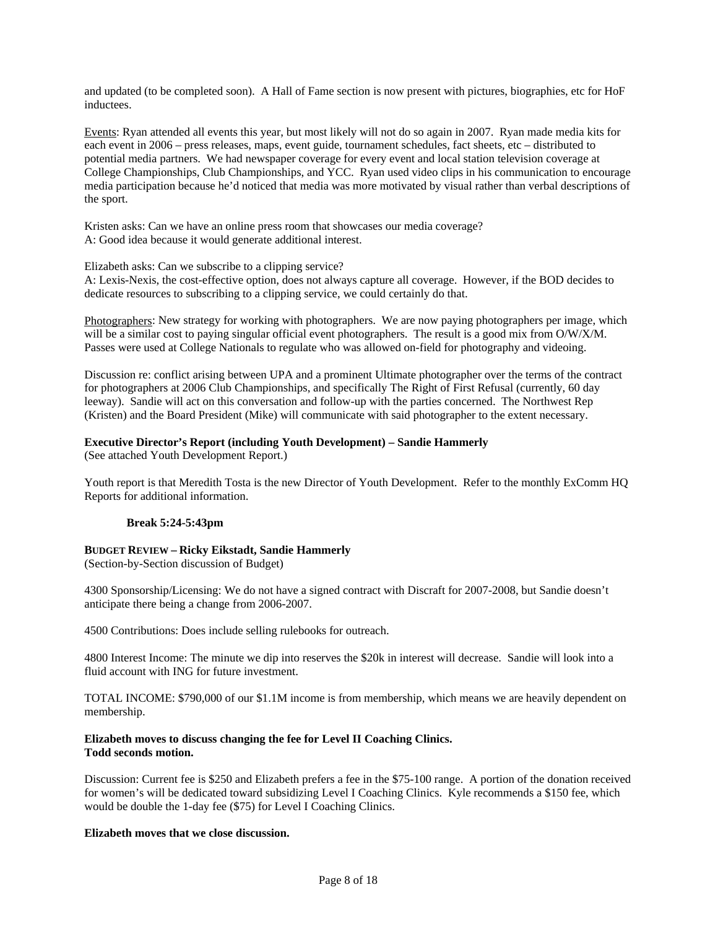and updated (to be completed soon). A Hall of Fame section is now present with pictures, biographies, etc for HoF inductees.

Events: Ryan attended all events this year, but most likely will not do so again in 2007. Ryan made media kits for each event in 2006 – press releases, maps, event guide, tournament schedules, fact sheets, etc – distributed to potential media partners. We had newspaper coverage for every event and local station television coverage at College Championships, Club Championships, and YCC. Ryan used video clips in his communication to encourage media participation because he'd noticed that media was more motivated by visual rather than verbal descriptions of the sport.

Kristen asks: Can we have an online press room that showcases our media coverage? A: Good idea because it would generate additional interest.

Elizabeth asks: Can we subscribe to a clipping service?

A: Lexis-Nexis, the cost-effective option, does not always capture all coverage. However, if the BOD decides to dedicate resources to subscribing to a clipping service, we could certainly do that.

Photographers: New strategy for working with photographers. We are now paying photographers per image, which will be a similar cost to paying singular official event photographers. The result is a good mix from O/W/X/M. Passes were used at College Nationals to regulate who was allowed on-field for photography and videoing.

Discussion re: conflict arising between UPA and a prominent Ultimate photographer over the terms of the contract for photographers at 2006 Club Championships, and specifically The Right of First Refusal (currently, 60 day leeway). Sandie will act on this conversation and follow-up with the parties concerned. The Northwest Rep (Kristen) and the Board President (Mike) will communicate with said photographer to the extent necessary.

## **Executive Director's Report (including Youth Development) – Sandie Hammerly**

(See attached Youth Development Report.)

Youth report is that Meredith Tosta is the new Director of Youth Development. Refer to the monthly ExComm HQ Reports for additional information.

#### **Break 5:24-5:43pm**

#### **BUDGET REVIEW – Ricky Eikstadt, Sandie Hammerly**

(Section-by-Section discussion of Budget)

4300 Sponsorship/Licensing: We do not have a signed contract with Discraft for 2007-2008, but Sandie doesn't anticipate there being a change from 2006-2007.

4500 Contributions: Does include selling rulebooks for outreach.

4800 Interest Income: The minute we dip into reserves the \$20k in interest will decrease. Sandie will look into a fluid account with ING for future investment.

TOTAL INCOME: \$790,000 of our \$1.1M income is from membership, which means we are heavily dependent on membership.

### **Elizabeth moves to discuss changing the fee for Level II Coaching Clinics. Todd seconds motion.**

Discussion: Current fee is \$250 and Elizabeth prefers a fee in the \$75-100 range. A portion of the donation received for women's will be dedicated toward subsidizing Level I Coaching Clinics. Kyle recommends a \$150 fee, which would be double the 1-day fee (\$75) for Level I Coaching Clinics.

## **Elizabeth moves that we close discussion.**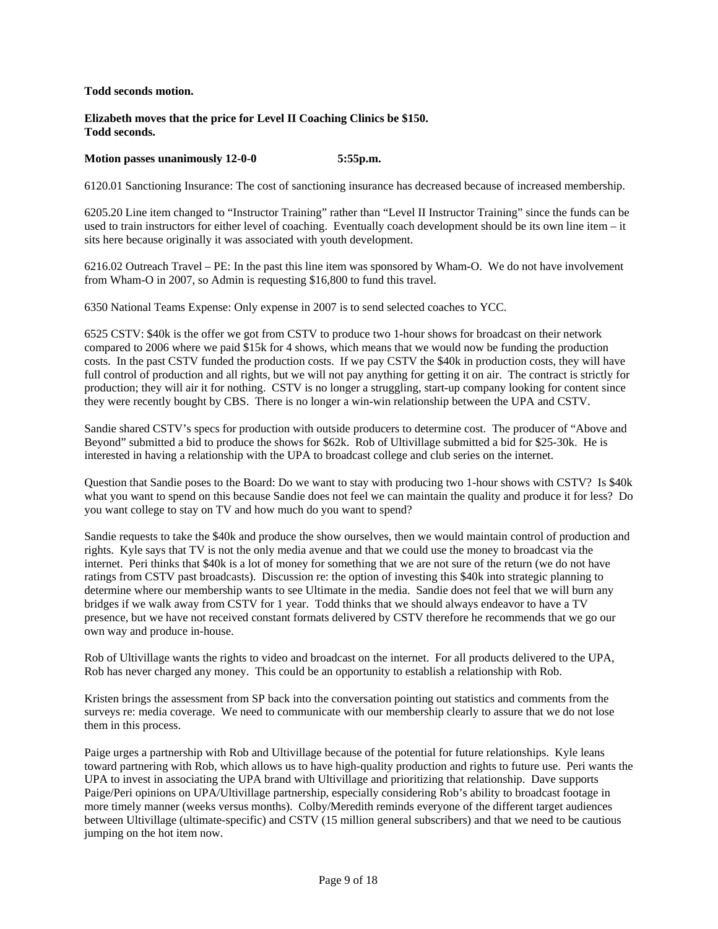**Todd seconds motion.** 

### **Elizabeth moves that the price for Level II Coaching Clinics be \$150. Todd seconds.**

## **Motion passes unanimously 12-0-0 5:55p.m.**

6120.01 Sanctioning Insurance: The cost of sanctioning insurance has decreased because of increased membership.

6205.20 Line item changed to "Instructor Training" rather than "Level II Instructor Training" since the funds can be used to train instructors for either level of coaching. Eventually coach development should be its own line item – it sits here because originally it was associated with youth development.

6216.02 Outreach Travel – PE: In the past this line item was sponsored by Wham-O. We do not have involvement from Wham-O in 2007, so Admin is requesting \$16,800 to fund this travel.

6350 National Teams Expense: Only expense in 2007 is to send selected coaches to YCC.

6525 CSTV: \$40k is the offer we got from CSTV to produce two 1-hour shows for broadcast on their network compared to 2006 where we paid \$15k for 4 shows, which means that we would now be funding the production costs. In the past CSTV funded the production costs. If we pay CSTV the \$40k in production costs, they will have full control of production and all rights, but we will not pay anything for getting it on air. The contract is strictly for production; they will air it for nothing. CSTV is no longer a struggling, start-up company looking for content since they were recently bought by CBS. There is no longer a win-win relationship between the UPA and CSTV.

Sandie shared CSTV's specs for production with outside producers to determine cost. The producer of "Above and Beyond" submitted a bid to produce the shows for \$62k. Rob of Ultivillage submitted a bid for \$25-30k. He is interested in having a relationship with the UPA to broadcast college and club series on the internet.

Question that Sandie poses to the Board: Do we want to stay with producing two 1-hour shows with CSTV? Is \$40k what you want to spend on this because Sandie does not feel we can maintain the quality and produce it for less? Do you want college to stay on TV and how much do you want to spend?

Sandie requests to take the \$40k and produce the show ourselves, then we would maintain control of production and rights. Kyle says that TV is not the only media avenue and that we could use the money to broadcast via the internet. Peri thinks that \$40k is a lot of money for something that we are not sure of the return (we do not have ratings from CSTV past broadcasts). Discussion re: the option of investing this \$40k into strategic planning to determine where our membership wants to see Ultimate in the media. Sandie does not feel that we will burn any bridges if we walk away from CSTV for 1 year. Todd thinks that we should always endeavor to have a TV presence, but we have not received constant formats delivered by CSTV therefore he recommends that we go our own way and produce in-house.

Rob of Ultivillage wants the rights to video and broadcast on the internet. For all products delivered to the UPA, Rob has never charged any money. This could be an opportunity to establish a relationship with Rob.

Kristen brings the assessment from SP back into the conversation pointing out statistics and comments from the surveys re: media coverage. We need to communicate with our membership clearly to assure that we do not lose them in this process.

Paige urges a partnership with Rob and Ultivillage because of the potential for future relationships. Kyle leans toward partnering with Rob, which allows us to have high-quality production and rights to future use. Peri wants the UPA to invest in associating the UPA brand with Ultivillage and prioritizing that relationship. Dave supports Paige/Peri opinions on UPA/Ultivillage partnership, especially considering Rob's ability to broadcast footage in more timely manner (weeks versus months). Colby/Meredith reminds everyone of the different target audiences between Ultivillage (ultimate-specific) and CSTV (15 million general subscribers) and that we need to be cautious jumping on the hot item now.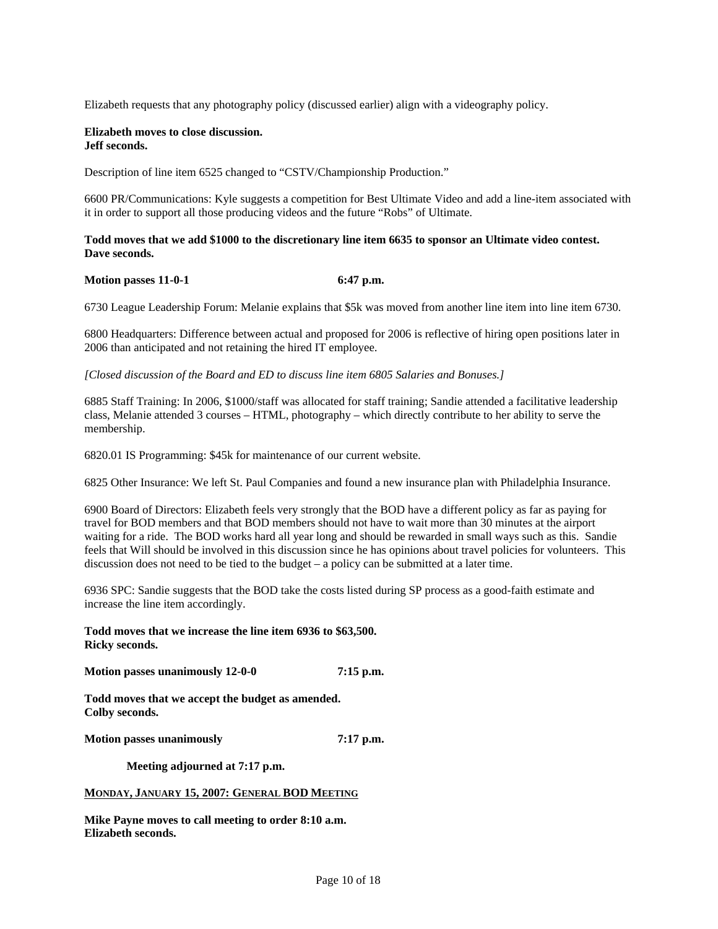Elizabeth requests that any photography policy (discussed earlier) align with a videography policy.

#### **Elizabeth moves to close discussion. Jeff seconds.**

Description of line item 6525 changed to "CSTV/Championship Production."

6600 PR/Communications: Kyle suggests a competition for Best Ultimate Video and add a line-item associated with it in order to support all those producing videos and the future "Robs" of Ultimate.

### **Todd moves that we add \$1000 to the discretionary line item 6635 to sponsor an Ultimate video contest. Dave seconds.**

#### **Motion passes 11-0-1** 6:47 p.m.

6730 League Leadership Forum: Melanie explains that \$5k was moved from another line item into line item 6730.

6800 Headquarters: Difference between actual and proposed for 2006 is reflective of hiring open positions later in 2006 than anticipated and not retaining the hired IT employee.

*[Closed discussion of the Board and ED to discuss line item 6805 Salaries and Bonuses.]*

6885 Staff Training: In 2006, \$1000/staff was allocated for staff training; Sandie attended a facilitative leadership class, Melanie attended 3 courses – HTML, photography – which directly contribute to her ability to serve the membership.

6820.01 IS Programming: \$45k for maintenance of our current website.

6825 Other Insurance: We left St. Paul Companies and found a new insurance plan with Philadelphia Insurance.

6900 Board of Directors: Elizabeth feels very strongly that the BOD have a different policy as far as paying for travel for BOD members and that BOD members should not have to wait more than 30 minutes at the airport waiting for a ride. The BOD works hard all year long and should be rewarded in small ways such as this. Sandie feels that Will should be involved in this discussion since he has opinions about travel policies for volunteers. This discussion does not need to be tied to the budget  $-$  a policy can be submitted at a later time.

6936 SPC: Sandie suggests that the BOD take the costs listed during SP process as a good-faith estimate and increase the line item accordingly.

**Todd moves that we increase the line item 6936 to \$63,500. Ricky seconds.** 

**Motion passes unanimously 12-0-0 7:15 p.m.** 

**Todd moves that we accept the budget as amended. Colby seconds.** 

**Motion passes unanimously 7:17 p.m.** 

 **Meeting adjourned at 7:17 p.m.** 

#### **MONDAY, JANUARY 15, 2007: GENERAL BOD MEETING**

**Mike Payne moves to call meeting to order 8:10 a.m. Elizabeth seconds.**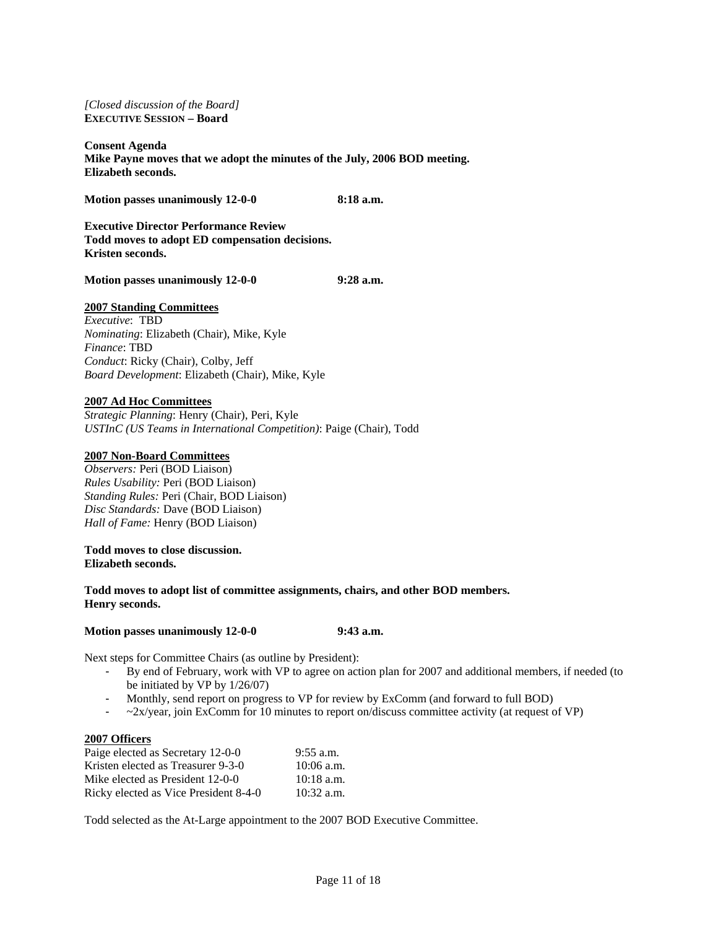*[Closed discussion of the Board]*  **EXECUTIVE SESSION – Board** 

**Consent Agenda Mike Payne moves that we adopt the minutes of the July, 2006 BOD meeting. Elizabeth seconds.** 

**Motion passes unanimously 12-0-0 8:18 a.m.** 

**Executive Director Performance Review Todd moves to adopt ED compensation decisions. Kristen seconds.** 

**Motion passes unanimously 12-0-0 9:28 a.m.** 

#### **2007 Standing Committees**

*Executive*: TBD *Nominating*: Elizabeth (Chair), Mike, Kyle *Finance*: TBD *Conduct*: Ricky (Chair), Colby, Jeff *Board Development*: Elizabeth (Chair), Mike, Kyle

## **2007 Ad Hoc Committees**

*Strategic Planning*: Henry (Chair), Peri, Kyle *USTInC (US Teams in International Competition)*: Paige (Chair), Todd

### **2007 Non-Board Committees**

*Observers:* Peri (BOD Liaison) *Rules Usability:* Peri (BOD Liaison) *Standing Rules:* Peri (Chair, BOD Liaison) *Disc Standards:* Dave (BOD Liaison) *Hall of Fame:* Henry (BOD Liaison)

**Todd moves to close discussion. Elizabeth seconds.** 

**Todd moves to adopt list of committee assignments, chairs, and other BOD members. Henry seconds.** 

### **Motion passes unanimously 12-0-0 9:43 a.m.**

Next steps for Committee Chairs (as outline by President):

- By end of February, work with VP to agree on action plan for 2007 and additional members, if needed (to be initiated by VP by 1/26/07)
- Monthly, send report on progress to VP for review by ExComm (and forward to full BOD)
- $\sim$  2x/year, join ExComm for 10 minutes to report on/discuss committee activity (at request of VP)

#### **2007 Officers**

| Paige elected as Secretary 12-0-0     | $9:55$ a.m.  |
|---------------------------------------|--------------|
| Kristen elected as Treasurer 9-3-0    | $10:06$ a.m. |
| Mike elected as President 12-0-0      | $10:18$ a.m. |
| Ricky elected as Vice President 8-4-0 | $10:32$ a.m. |

Todd selected as the At-Large appointment to the 2007 BOD Executive Committee.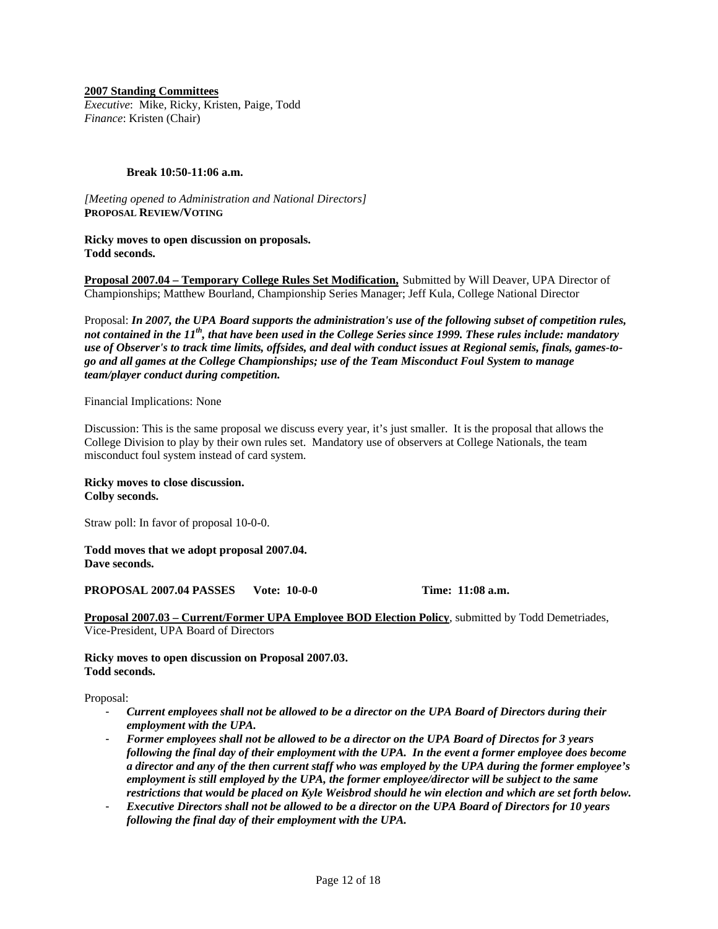**2007 Standing Committees**

*Executive*: Mike, Ricky, Kristen, Paige, Todd *Finance*: Kristen (Chair)

#### **Break 10:50-11:06 a.m.**

*[Meeting opened to Administration and National Directors]*  **PROPOSAL REVIEW/VOTING**

**Ricky moves to open discussion on proposals. Todd seconds.**

**Proposal 2007.04 – Temporary College Rules Set Modification,** Submitted by Will Deaver, UPA Director of Championships; Matthew Bourland, Championship Series Manager; Jeff Kula, College National Director

Proposal: *In 2007, the UPA Board supports the administration's use of the following subset of competition rules, not contained in the 11th, that have been used in the College Series since 1999. These rules include: mandatory use of Observer's to track time limits, offsides, and deal with conduct issues at Regional semis, finals, games-togo and all games at the College Championships; use of the Team Misconduct Foul System to manage team/player conduct during competition.*

Financial Implications: None

Discussion: This is the same proposal we discuss every year, it's just smaller. It is the proposal that allows the College Division to play by their own rules set. Mandatory use of observers at College Nationals, the team misconduct foul system instead of card system.

**Ricky moves to close discussion. Colby seconds.** 

Straw poll: In favor of proposal 10-0-0.

**Todd moves that we adopt proposal 2007.04. Dave seconds.** 

**PROPOSAL 2007.04 PASSES Vote: 10-0-0 Time: 11:08 a.m.**

**Proposal 2007.03 – Current/Former UPA Employee BOD Election Policy**, submitted by Todd Demetriades, Vice-President, UPA Board of Directors

**Ricky moves to open discussion on Proposal 2007.03. Todd seconds.** 

Proposal:

- *Current employees shall not be allowed to be a director on the UPA Board of Directors during their employment with the UPA.*
- *Former employees shall not be allowed to be a director on the UPA Board of Directos for 3 years following the final day of their employment with the UPA. In the event a former employee does become a director and any of the then current staff who was employed by the UPA during the former employee's employment is still employed by the UPA, the former employee/director will be subject to the same restrictions that would be placed on Kyle Weisbrod should he win election and which are set forth below.*
- *Executive Directors shall not be allowed to be a director on the UPA Board of Directors for 10 years following the final day of their employment with the UPA.*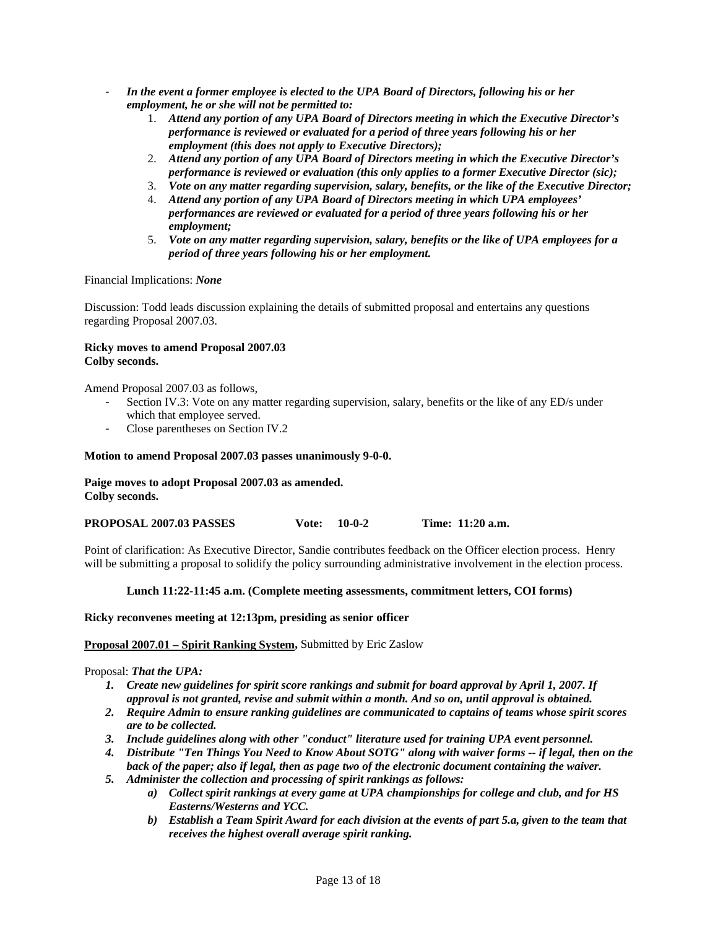- *In the event a former employee is elected to the UPA Board of Directors, following his or her employment, he or she will not be permitted to:*
	- 1. *Attend any portion of any UPA Board of Directors meeting in which the Executive Director's performance is reviewed or evaluated for a period of three years following his or her employment (this does not apply to Executive Directors);*
	- 2. *Attend any portion of any UPA Board of Directors meeting in which the Executive Director's performance is reviewed or evaluation (this only applies to a former Executive Director (sic);*
	- 3. *Vote on any matter regarding supervision, salary, benefits, or the like of the Executive Director;*
	- 4. *Attend any portion of any UPA Board of Directors meeting in which UPA employees' performances are reviewed or evaluated for a period of three years following his or her employment;*
	- 5. *Vote on any matter regarding supervision, salary, benefits or the like of UPA employees for a period of three years following his or her employment.*

Financial Implications: *None* 

Discussion: Todd leads discussion explaining the details of submitted proposal and entertains any questions regarding Proposal 2007.03.

### **Ricky moves to amend Proposal 2007.03 Colby seconds.**

Amend Proposal 2007.03 as follows,

- Section IV.3: Vote on any matter regarding supervision, salary, benefits or the like of any ED/s under which that employee served.
- Close parentheses on Section IV.2

### **Motion to amend Proposal 2007.03 passes unanimously 9-0-0.**

**Paige moves to adopt Proposal 2007.03 as amended. Colby seconds.** 

| <b>PROPOSAL 2007.03 PASSES</b> | Vote: $10-0-2$ | Time: 11:20 a.m. |
|--------------------------------|----------------|------------------|
|                                |                |                  |

Point of clarification: As Executive Director, Sandie contributes feedback on the Officer election process. Henry will be submitting a proposal to solidify the policy surrounding administrative involvement in the election process.

## **Lunch 11:22-11:45 a.m. (Complete meeting assessments, commitment letters, COI forms)**

#### **Ricky reconvenes meeting at 12:13pm, presiding as senior officer**

#### **Proposal 2007.01 – Spirit Ranking System,** Submitted by Eric Zaslow

Proposal: *That the UPA:* 

- *1. Create new guidelines for spirit score rankings and submit for board approval by April 1, 2007. If approval is not granted, revise and submit within a month. And so on, until approval is obtained.*
- *2. Require Admin to ensure ranking guidelines are communicated to captains of teams whose spirit scores are to be collected.*
- *3. Include guidelines along with other "conduct" literature used for training UPA event personnel.*
- *4. Distribute "Ten Things You Need to Know About SOTG" along with waiver forms -- if legal, then on the back of the paper; also if legal, then as page two of the electronic document containing the waiver.*
- *5. Administer the collection and processing of spirit rankings as follows:* 
	- *a) Collect spirit rankings at every game at UPA championships for college and club, and for HS Easterns/Westerns and YCC.*
	- *b) Establish a Team Spirit Award for each division at the events of part 5.a, given to the team that receives the highest overall average spirit ranking.*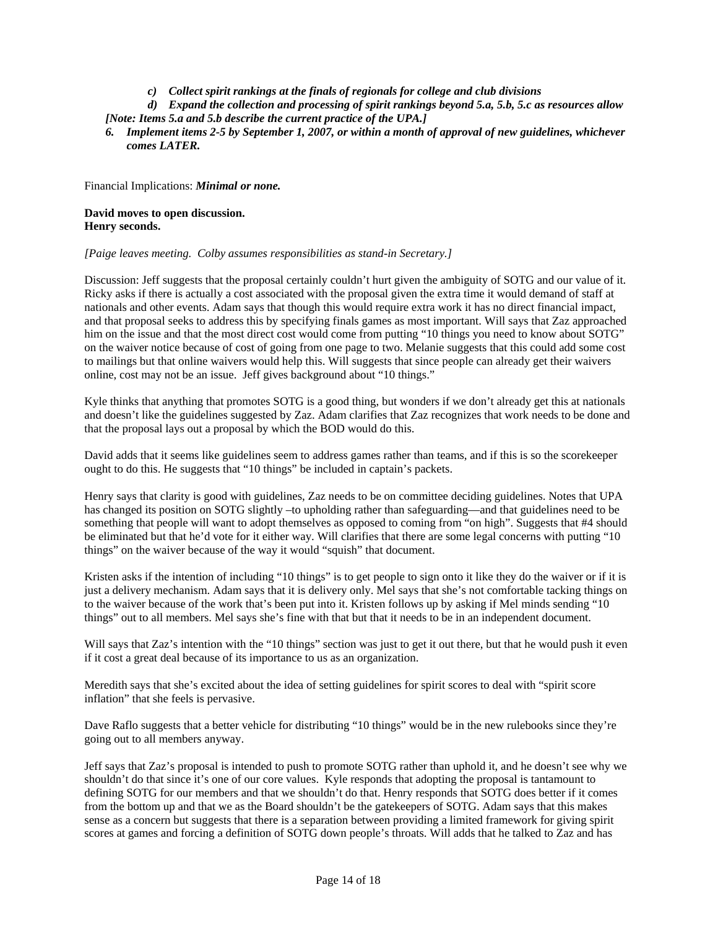*c) Collect spirit rankings at the finals of regionals for college and club divisions* 

*d) Expand the collection and processing of spirit rankings beyond 5.a, 5.b, 5.c as resources allow [Note: Items 5.a and 5.b describe the current practice of the UPA.]* 

*6. Implement items 2-5 by September 1, 2007, or within a month of approval of new guidelines, whichever comes LATER.* 

Financial Implications: *Minimal or none.* 

## **David moves to open discussion. Henry seconds.**

*[Paige leaves meeting. Colby assumes responsibilities as stand-in Secretary.]* 

Discussion: Jeff suggests that the proposal certainly couldn't hurt given the ambiguity of SOTG and our value of it. Ricky asks if there is actually a cost associated with the proposal given the extra time it would demand of staff at nationals and other events. Adam says that though this would require extra work it has no direct financial impact, and that proposal seeks to address this by specifying finals games as most important. Will says that Zaz approached him on the issue and that the most direct cost would come from putting "10 things you need to know about SOTG" on the waiver notice because of cost of going from one page to two. Melanie suggests that this could add some cost to mailings but that online waivers would help this. Will suggests that since people can already get their waivers online, cost may not be an issue. Jeff gives background about "10 things."

Kyle thinks that anything that promotes SOTG is a good thing, but wonders if we don't already get this at nationals and doesn't like the guidelines suggested by Zaz. Adam clarifies that Zaz recognizes that work needs to be done and that the proposal lays out a proposal by which the BOD would do this.

David adds that it seems like guidelines seem to address games rather than teams, and if this is so the scorekeeper ought to do this. He suggests that "10 things" be included in captain's packets.

Henry says that clarity is good with guidelines, Zaz needs to be on committee deciding guidelines. Notes that UPA has changed its position on SOTG slightly –to upholding rather than safeguarding—and that guidelines need to be something that people will want to adopt themselves as opposed to coming from "on high". Suggests that #4 should be eliminated but that he'd vote for it either way. Will clarifies that there are some legal concerns with putting "10 things" on the waiver because of the way it would "squish" that document.

Kristen asks if the intention of including "10 things" is to get people to sign onto it like they do the waiver or if it is just a delivery mechanism. Adam says that it is delivery only. Mel says that she's not comfortable tacking things on to the waiver because of the work that's been put into it. Kristen follows up by asking if Mel minds sending "10 things" out to all members. Mel says she's fine with that but that it needs to be in an independent document.

Will says that Zaz's intention with the "10 things" section was just to get it out there, but that he would push it even if it cost a great deal because of its importance to us as an organization.

Meredith says that she's excited about the idea of setting guidelines for spirit scores to deal with "spirit score inflation" that she feels is pervasive.

Dave Raflo suggests that a better vehicle for distributing "10 things" would be in the new rulebooks since they're going out to all members anyway.

Jeff says that Zaz's proposal is intended to push to promote SOTG rather than uphold it, and he doesn't see why we shouldn't do that since it's one of our core values. Kyle responds that adopting the proposal is tantamount to defining SOTG for our members and that we shouldn't do that. Henry responds that SOTG does better if it comes from the bottom up and that we as the Board shouldn't be the gatekeepers of SOTG. Adam says that this makes sense as a concern but suggests that there is a separation between providing a limited framework for giving spirit scores at games and forcing a definition of SOTG down people's throats. Will adds that he talked to Zaz and has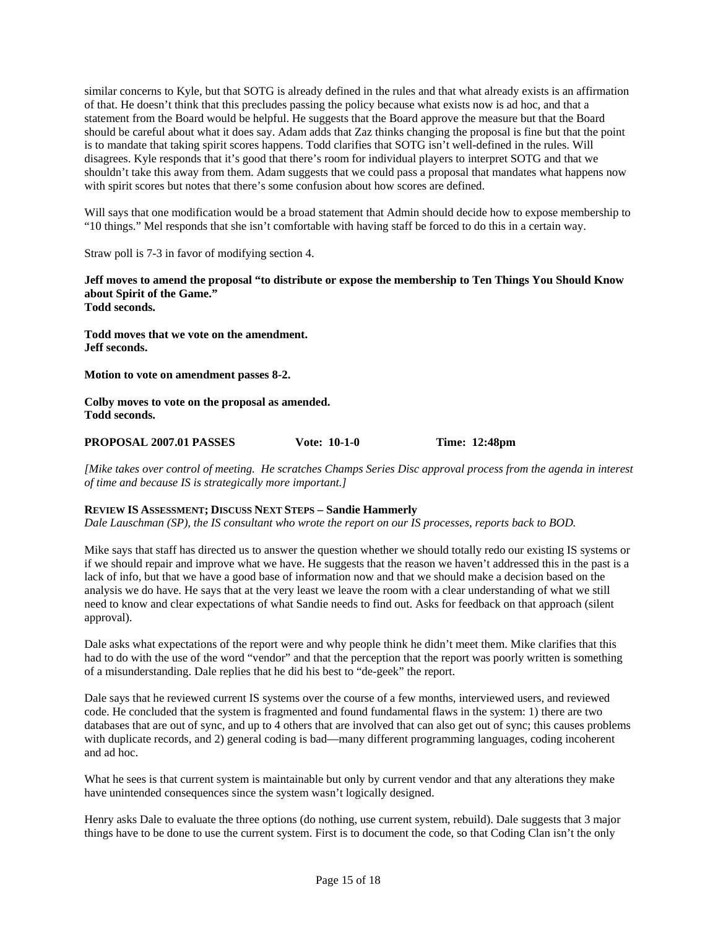similar concerns to Kyle, but that SOTG is already defined in the rules and that what already exists is an affirmation of that. He doesn't think that this precludes passing the policy because what exists now is ad hoc, and that a statement from the Board would be helpful. He suggests that the Board approve the measure but that the Board should be careful about what it does say. Adam adds that Zaz thinks changing the proposal is fine but that the point is to mandate that taking spirit scores happens. Todd clarifies that SOTG isn't well-defined in the rules. Will disagrees. Kyle responds that it's good that there's room for individual players to interpret SOTG and that we shouldn't take this away from them. Adam suggests that we could pass a proposal that mandates what happens now with spirit scores but notes that there's some confusion about how scores are defined.

Will says that one modification would be a broad statement that Admin should decide how to expose membership to "10 things." Mel responds that she isn't comfortable with having staff be forced to do this in a certain way.

Straw poll is 7-3 in favor of modifying section 4.

**Jeff moves to amend the proposal "to distribute or expose the membership to Ten Things You Should Know about Spirit of the Game."** 

**Todd seconds.** 

**Todd moves that we vote on the amendment. Jeff seconds.** 

**Motion to vote on amendment passes 8-2.** 

**Colby moves to vote on the proposal as amended. Todd seconds.** 

#### **PROPOSAL 2007.01 PASSES Vote: 10-1-0 Time: 12:48pm**

*[Mike takes over control of meeting. He scratches Champs Series Disc approval process from the agenda in interest of time and because IS is strategically more important.]* 

## **REVIEW IS ASSESSMENT; DISCUSS NEXT STEPS – Sandie Hammerly**

*Dale Lauschman (SP), the IS consultant who wrote the report on our IS processes, reports back to BOD.* 

Mike says that staff has directed us to answer the question whether we should totally redo our existing IS systems or if we should repair and improve what we have. He suggests that the reason we haven't addressed this in the past is a lack of info, but that we have a good base of information now and that we should make a decision based on the analysis we do have. He says that at the very least we leave the room with a clear understanding of what we still need to know and clear expectations of what Sandie needs to find out. Asks for feedback on that approach (silent approval).

Dale asks what expectations of the report were and why people think he didn't meet them. Mike clarifies that this had to do with the use of the word "vendor" and that the perception that the report was poorly written is something of a misunderstanding. Dale replies that he did his best to "de-geek" the report.

Dale says that he reviewed current IS systems over the course of a few months, interviewed users, and reviewed code. He concluded that the system is fragmented and found fundamental flaws in the system: 1) there are two databases that are out of sync, and up to 4 others that are involved that can also get out of sync; this causes problems with duplicate records, and 2) general coding is bad—many different programming languages, coding incoherent and ad hoc.

What he sees is that current system is maintainable but only by current vendor and that any alterations they make have unintended consequences since the system wasn't logically designed.

Henry asks Dale to evaluate the three options (do nothing, use current system, rebuild). Dale suggests that 3 major things have to be done to use the current system. First is to document the code, so that Coding Clan isn't the only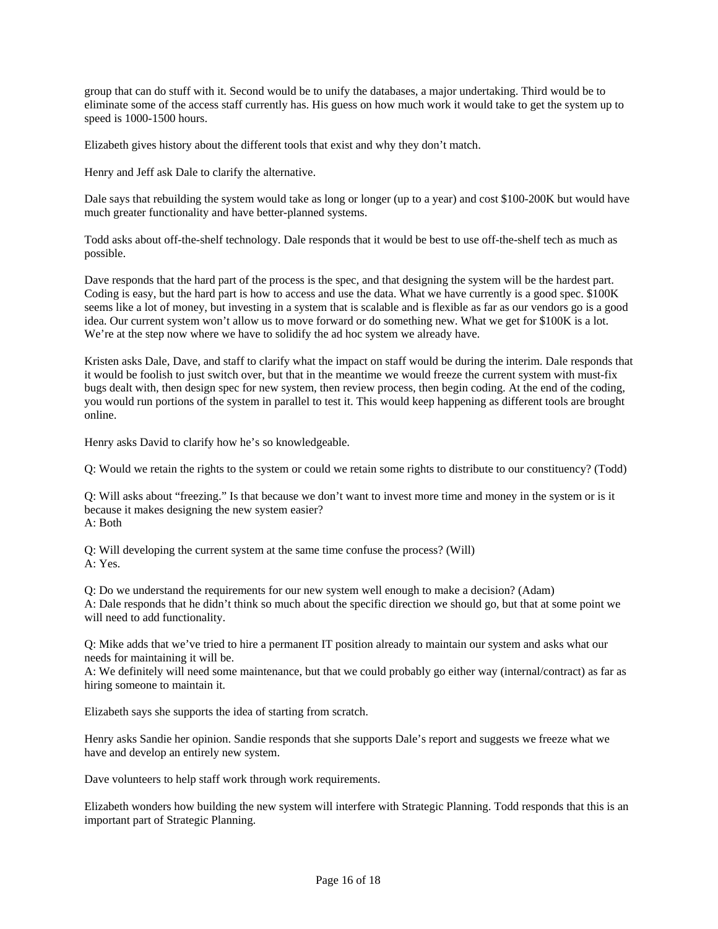group that can do stuff with it. Second would be to unify the databases, a major undertaking. Third would be to eliminate some of the access staff currently has. His guess on how much work it would take to get the system up to speed is 1000-1500 hours.

Elizabeth gives history about the different tools that exist and why they don't match.

Henry and Jeff ask Dale to clarify the alternative.

Dale says that rebuilding the system would take as long or longer (up to a year) and cost \$100-200K but would have much greater functionality and have better-planned systems.

Todd asks about off-the-shelf technology. Dale responds that it would be best to use off-the-shelf tech as much as possible.

Dave responds that the hard part of the process is the spec, and that designing the system will be the hardest part. Coding is easy, but the hard part is how to access and use the data. What we have currently is a good spec. \$100K seems like a lot of money, but investing in a system that is scalable and is flexible as far as our vendors go is a good idea. Our current system won't allow us to move forward or do something new. What we get for \$100K is a lot. We're at the step now where we have to solidify the ad hoc system we already have.

Kristen asks Dale, Dave, and staff to clarify what the impact on staff would be during the interim. Dale responds that it would be foolish to just switch over, but that in the meantime we would freeze the current system with must-fix bugs dealt with, then design spec for new system, then review process, then begin coding. At the end of the coding, you would run portions of the system in parallel to test it. This would keep happening as different tools are brought online.

Henry asks David to clarify how he's so knowledgeable.

Q: Would we retain the rights to the system or could we retain some rights to distribute to our constituency? (Todd)

Q: Will asks about "freezing." Is that because we don't want to invest more time and money in the system or is it because it makes designing the new system easier? A: Both

Q: Will developing the current system at the same time confuse the process? (Will) A: Yes.

Q: Do we understand the requirements for our new system well enough to make a decision? (Adam) A: Dale responds that he didn't think so much about the specific direction we should go, but that at some point we will need to add functionality.

Q: Mike adds that we've tried to hire a permanent IT position already to maintain our system and asks what our needs for maintaining it will be.

A: We definitely will need some maintenance, but that we could probably go either way (internal/contract) as far as hiring someone to maintain it.

Elizabeth says she supports the idea of starting from scratch.

Henry asks Sandie her opinion. Sandie responds that she supports Dale's report and suggests we freeze what we have and develop an entirely new system.

Dave volunteers to help staff work through work requirements.

Elizabeth wonders how building the new system will interfere with Strategic Planning. Todd responds that this is an important part of Strategic Planning.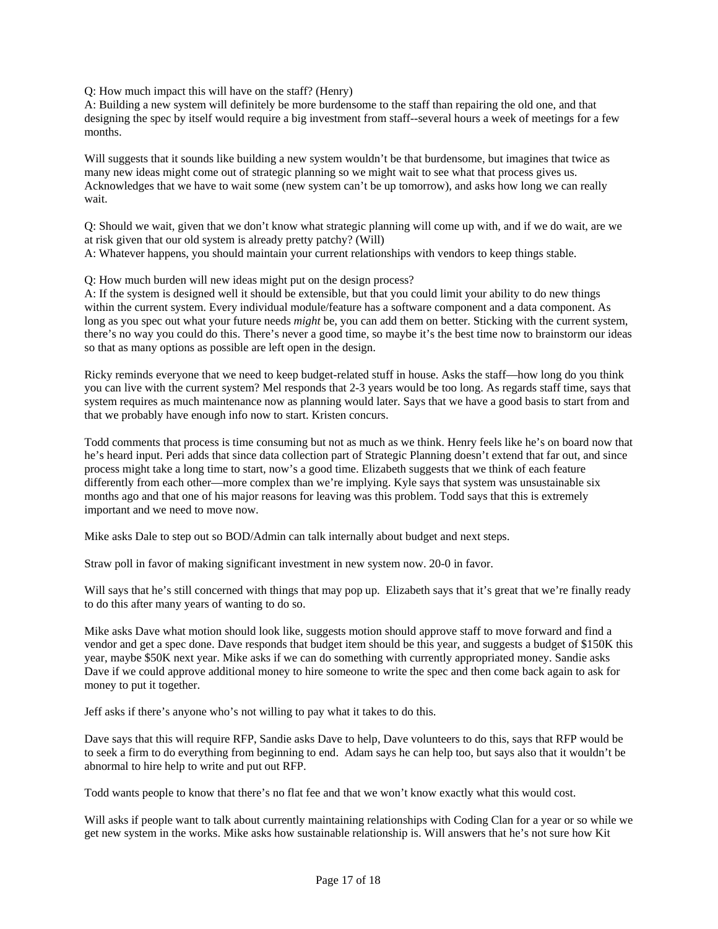Q: How much impact this will have on the staff? (Henry)

A: Building a new system will definitely be more burdensome to the staff than repairing the old one, and that designing the spec by itself would require a big investment from staff--several hours a week of meetings for a few months.

Will suggests that it sounds like building a new system wouldn't be that burdensome, but imagines that twice as many new ideas might come out of strategic planning so we might wait to see what that process gives us. Acknowledges that we have to wait some (new system can't be up tomorrow), and asks how long we can really wait.

Q: Should we wait, given that we don't know what strategic planning will come up with, and if we do wait, are we at risk given that our old system is already pretty patchy? (Will) A: Whatever happens, you should maintain your current relationships with vendors to keep things stable.

Q: How much burden will new ideas might put on the design process?

A: If the system is designed well it should be extensible, but that you could limit your ability to do new things within the current system. Every individual module/feature has a software component and a data component. As long as you spec out what your future needs *might* be, you can add them on better. Sticking with the current system, there's no way you could do this. There's never a good time, so maybe it's the best time now to brainstorm our ideas so that as many options as possible are left open in the design.

Ricky reminds everyone that we need to keep budget-related stuff in house. Asks the staff—how long do you think you can live with the current system? Mel responds that 2-3 years would be too long. As regards staff time, says that system requires as much maintenance now as planning would later. Says that we have a good basis to start from and that we probably have enough info now to start. Kristen concurs.

Todd comments that process is time consuming but not as much as we think. Henry feels like he's on board now that he's heard input. Peri adds that since data collection part of Strategic Planning doesn't extend that far out, and since process might take a long time to start, now's a good time. Elizabeth suggests that we think of each feature differently from each other—more complex than we're implying. Kyle says that system was unsustainable six months ago and that one of his major reasons for leaving was this problem. Todd says that this is extremely important and we need to move now.

Mike asks Dale to step out so BOD/Admin can talk internally about budget and next steps.

Straw poll in favor of making significant investment in new system now. 20-0 in favor.

Will says that he's still concerned with things that may pop up. Elizabeth says that it's great that we're finally ready to do this after many years of wanting to do so.

Mike asks Dave what motion should look like, suggests motion should approve staff to move forward and find a vendor and get a spec done. Dave responds that budget item should be this year, and suggests a budget of \$150K this year, maybe \$50K next year. Mike asks if we can do something with currently appropriated money. Sandie asks Dave if we could approve additional money to hire someone to write the spec and then come back again to ask for money to put it together.

Jeff asks if there's anyone who's not willing to pay what it takes to do this.

Dave says that this will require RFP, Sandie asks Dave to help, Dave volunteers to do this, says that RFP would be to seek a firm to do everything from beginning to end. Adam says he can help too, but says also that it wouldn't be abnormal to hire help to write and put out RFP.

Todd wants people to know that there's no flat fee and that we won't know exactly what this would cost.

Will asks if people want to talk about currently maintaining relationships with Coding Clan for a year or so while we get new system in the works. Mike asks how sustainable relationship is. Will answers that he's not sure how Kit